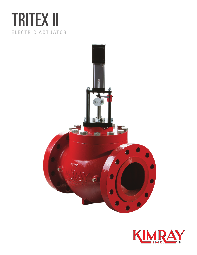## TRITEX II ELECTRIC ACTUATOR



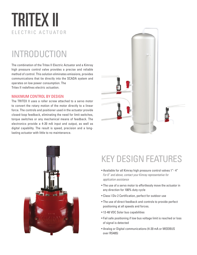# TRITEX II ELECTRIC ACTUATOR

## INTRODUCTION

The combination of the Tritex II Electric Actuator and a Kimray high pressure control valve provides a precise and reliable method of control. This solution eliminates emissions, provides communications that tie directly into the SCADA system and operates on low power consumption. The Tritex II redefines electric actuation.

#### MAXIMUM CONTROL BY DESIGN

The TRITEX II uses a roller screw attached to a servo motor to convert the rotary motion of the motor directly to a linear force. The controls and positioner used in the actuator provide closed-loop feedback, eliminating the need for limit switches, torque switches or any mechanical means of feedback. The electronics provide a 4-20 mA input and output, as well as digital capability. The result is speed, precision and a longlasting actuator with little to no maintenance.





### KEY DESIGN FEATURES

- Available for all Kimray high pressure control valves 1"- 4" *For 6" and above, contact your Kimray representative for application assistance*
- The use of a servo motor to effortlessly move the actuator in any direction for 100% duty cycle
- Class I Div 2 Certification, perfect for outdoor use
- The use of direct feedback and controls to provide perfect positioning at all speeds and forces.
- 12-48 VDC Solar bus capabilities
- Fail safe positioning if low bus voltage limit is reached or loss of signal is detected
- Analog or Digital communications (4-20 mA or MODBUS over RS485)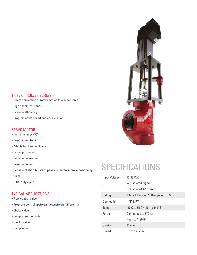#### TRITEX II ROLLER SCREW

- Direct conversion of rotary motion to a linear force
- High shock resistance
- Extreme efficiency
- Programmable speed and acceleration

#### SERVO MOTOR

- High efficiency (90%)
- Position feedback
- Adapts to changing loads
- Faster positioning
- Rapid acceleration
- Reserve power
- Capable of short bursts of peak current to improve positioning
- Quiet
- 100% duty cycle

#### TYPICAL APPLICATIONS

- Flow control valve
- Pressure control upstream/downstream/differential
- Choke valve
- Compressor controls
- Gas lift valve
- Dump valve



## SPECIFICATIONS

| Input Voltage | 12-48 VDC                                 |
|---------------|-------------------------------------------|
| I/O           | 4/3 isolated digital                      |
|               | $1/1$ isolated 4-20 mA                    |
| Rating        | Class I, Division 2, Groups A, B, C & D   |
| Connection    | $1/2$ " NPT                               |
| Temp          | $-40$ C to 65 C / $-40^{\circ}$ to 149° F |
| Force         | Continuous to 872 lbf                     |
|               | Peak to 1190 lbf                          |
| Stroke        | $3''$ max                                 |
| Speed         | Up to 5 in./sec                           |